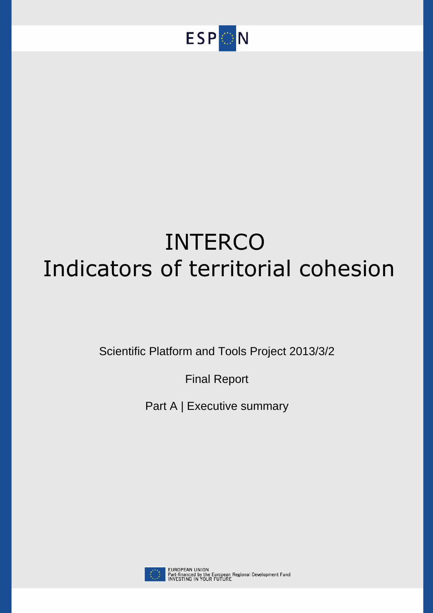

# INTERCO Indicators of territorial cohesion

Scientific Platform and Tools Project 2013/3/2

Final Report

Part A | Executive summary

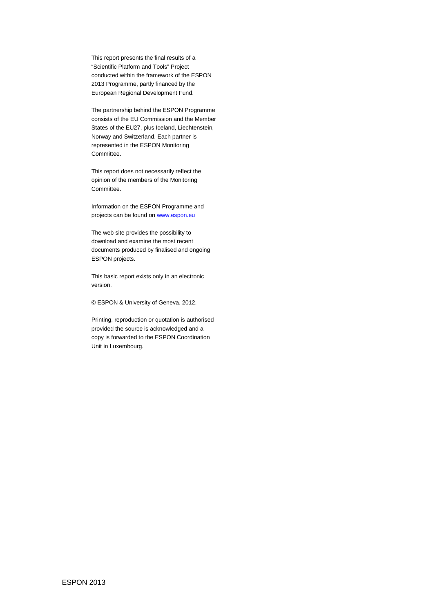This report presents the final results of a "Scientific Platform and Tools" Project conducted within the framework of the ESPON 2013 Programme, partly financed by the European Regional Development Fund.

The partnership behind the ESPON Programme consists of the EU Commission and the Member States of the EU27, plus Iceland, Liechtenstein, Norway and Switzerland. Each partner is represented in the ESPON Monitoring Committee.

This report does not necessarily reflect the opinion of the members of the Monitoring Committee.

Information on the ESPON Programme and projects can be found on www.espon.eu

The web site provides the possibility to download and examine the most recent documents produced by finalised and ongoing ESPON projects.

This basic report exists only in an electronic version.

© ESPON & University of Geneva, 2012.

Printing, reproduction or quotation is authorised provided the source is acknowledged and a copy is forwarded to the ESPON Coordination Unit in Luxembourg.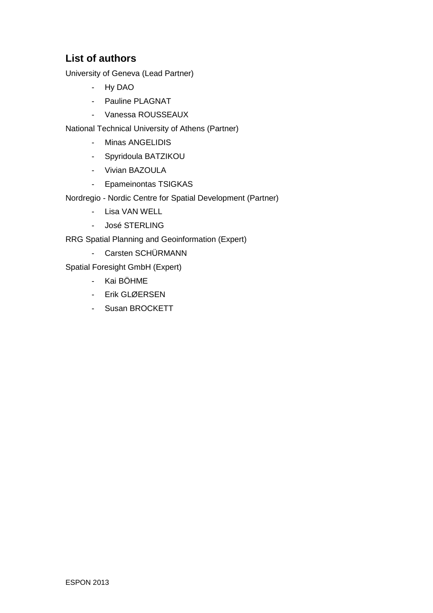# **List of authors**

University of Geneva (Lead Partner)

- Hy DAO
- Pauline PLAGNAT
- Vanessa ROUSSEAUX

National Technical University of Athens (Partner)

- Minas ANGELIDIS
- Spyridoula BATZIKOU
- Vivian BAZOULA
- Epameinontas TSIGKAS
- Nordregio Nordic Centre for Spatial Development (Partner)
	- Lisa VAN WELL
	- José STERLING

RRG Spatial Planning and Geoinformation (Expert)

- Carsten SCHÜRMANN

Spatial Foresight GmbH (Expert)

- Kai BÖHME
- Erik GLØERSEN
- Susan BROCKETT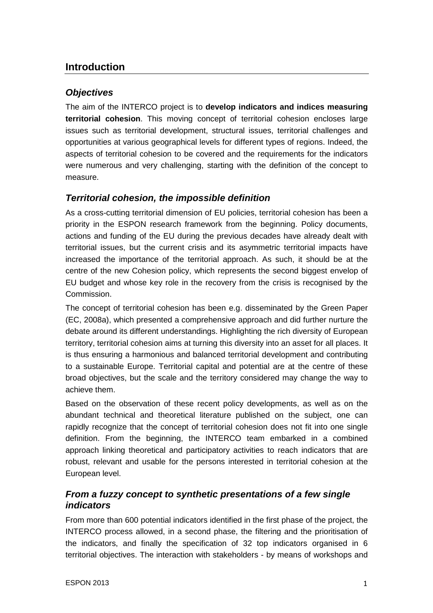# **Introduction**

# **Objectives**

The aim of the INTERCO project is to **develop indicators and indices measuring territorial cohesion**. This moving concept of territorial cohesion encloses large issues such as territorial development, structural issues, territorial challenges and opportunities at various geographical levels for different types of regions. Indeed, the aspects of territorial cohesion to be covered and the requirements for the indicators were numerous and very challenging, starting with the definition of the concept to measure.

# **Territorial cohesion, the impossible definition**

As a cross-cutting territorial dimension of EU policies, territorial cohesion has been a priority in the ESPON research framework from the beginning. Policy documents, actions and funding of the EU during the previous decades have already dealt with territorial issues, but the current crisis and its asymmetric territorial impacts have increased the importance of the territorial approach. As such, it should be at the centre of the new Cohesion policy, which represents the second biggest envelop of EU budget and whose key role in the recovery from the crisis is recognised by the Commission.

The concept of territorial cohesion has been e.g. disseminated by the Green Paper (EC, 2008a), which presented a comprehensive approach and did further nurture the debate around its different understandings. Highlighting the rich diversity of European territory, territorial cohesion aims at turning this diversity into an asset for all places. It is thus ensuring a harmonious and balanced territorial development and contributing to a sustainable Europe. Territorial capital and potential are at the centre of these broad objectives, but the scale and the territory considered may change the way to achieve them.

Based on the observation of these recent policy developments, as well as on the abundant technical and theoretical literature published on the subject, one can rapidly recognize that the concept of territorial cohesion does not fit into one single definition. From the beginning, the INTERCO team embarked in a combined approach linking theoretical and participatory activities to reach indicators that are robust, relevant and usable for the persons interested in territorial cohesion at the European level.

# **From a fuzzy concept to synthetic presentations of a few single indicators**

From more than 600 potential indicators identified in the first phase of the project, the INTERCO process allowed, in a second phase, the filtering and the prioritisation of the indicators, and finally the specification of 32 top indicators organised in 6 territorial objectives. The interaction with stakeholders - by means of workshops and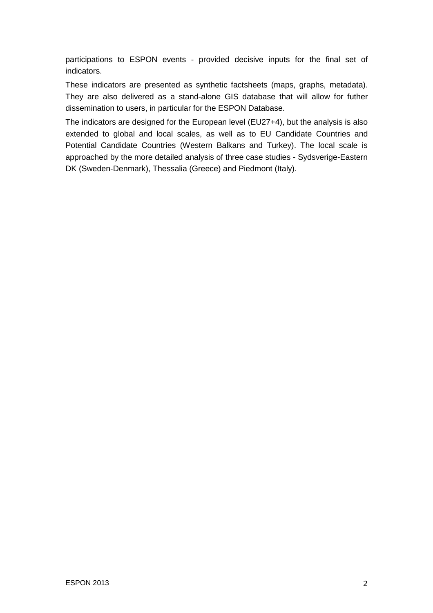participations to ESPON events - provided decisive inputs for the final set of indicators.

These indicators are presented as synthetic factsheets (maps, graphs, metadata). They are also delivered as a stand-alone GIS database that will allow for futher dissemination to users, in particular for the ESPON Database.

The indicators are designed for the European level (EU27+4), but the analysis is also extended to global and local scales, as well as to EU Candidate Countries and Potential Candidate Countries (Western Balkans and Turkey). The local scale is approached by the more detailed analysis of three case studies - Sydsverige-Eastern DK (Sweden-Denmark), Thessalia (Greece) and Piedmont (Italy).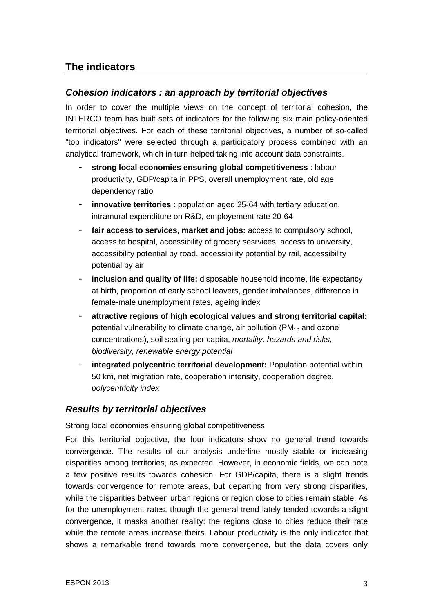# **The indicators**

# **Cohesion indicators : an approach by territorial objectives**

In order to cover the multiple views on the concept of territorial cohesion, the INTERCO team has built sets of indicators for the following six main policy-oriented territorial objectives. For each of these territorial objectives, a number of so-called "top indicators" were selected through a participatory process combined with an analytical framework, which in turn helped taking into account data constraints.

- strong local economies ensuring global competitiveness : labour productivity, GDP/capita in PPS, overall unemployment rate, old age dependency ratio
- **innovative territories :** population aged 25-64 with tertiary education, intramural expenditure on R&D, employement rate 20-64
- **fair access to services, market and jobs:** access to compulsory school, access to hospital, accessibility of grocery sesrvices, access to university, accessibility potential by road, accessibility potential by rail, accessibility potential by air
- inclusion and quality of life: disposable household income, life expectancy at birth, proportion of early school leavers, gender imbalances, difference in female-male unemployment rates, ageing index
- **attractive regions of high ecological values and strong territorial capital:**  potential vulnerability to climate change, air pollution ( $PM_{10}$  and ozone concentrations), soil sealing per capita, mortality, hazards and risks, biodiversity, renewable energy potential
- integrated polycentric territorial development: Population potential within 50 km, net migration rate, cooperation intensity, cooperation degree, polycentricity index

# **Results by territorial objectives**

# Strong local economies ensuring global competitiveness

For this territorial objective, the four indicators show no general trend towards convergence. The results of our analysis underline mostly stable or increasing disparities among territories, as expected. However, in economic fields, we can note a few positive results towards cohesion. For GDP/capita, there is a slight trends towards convergence for remote areas, but departing from very strong disparities, while the disparities between urban regions or region close to cities remain stable. As for the unemployment rates, though the general trend lately tended towards a slight convergence, it masks another reality: the regions close to cities reduce their rate while the remote areas increase theirs. Labour productivity is the only indicator that shows a remarkable trend towards more convergence, but the data covers only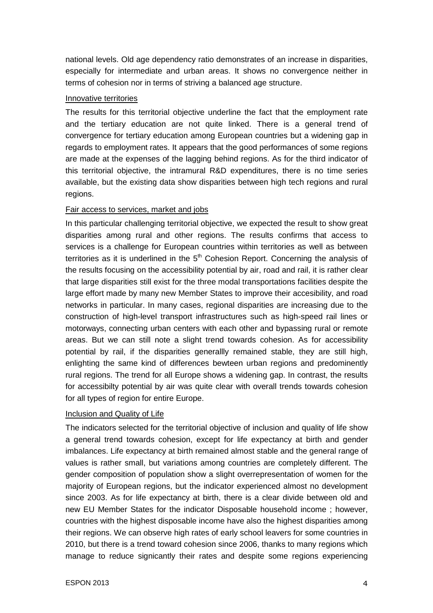national levels. Old age dependency ratio demonstrates of an increase in disparities, especially for intermediate and urban areas. It shows no convergence neither in terms of cohesion nor in terms of striving a balanced age structure.

#### Innovative territories

The results for this territorial objective underline the fact that the employment rate and the tertiary education are not quite linked. There is a general trend of convergence for tertiary education among European countries but a widening gap in regards to employment rates. It appears that the good performances of some regions are made at the expenses of the lagging behind regions. As for the third indicator of this territorial objective, the intramural R&D expenditures, there is no time series available, but the existing data show disparities between high tech regions and rural regions.

### Fair access to services, market and jobs

In this particular challenging territorial objective, we expected the result to show great disparities among rural and other regions. The results confirms that access to services is a challenge for European countries within territories as well as between territories as it is underlined in the  $5<sup>th</sup>$  Cohesion Report. Concerning the analysis of the results focusing on the accessibility potential by air, road and rail, it is rather clear that large disparities still exist for the three modal transportations facilities despite the large effort made by many new Member States to improve their accesibility, and road networks in particular. In many cases, regional disparities are increasing due to the construction of high-level transport infrastructures such as high-speed rail lines or motorways, connecting urban centers with each other and bypassing rural or remote areas. But we can still note a slight trend towards cohesion. As for accessibility potential by rail, if the disparities generallly remained stable, they are still high, enlighting the same kind of differences bewteen urban regions and predominently rural regions. The trend for all Europe shows a widening gap. In contrast, the results for accessibilty potential by air was quite clear with overall trends towards cohesion for all types of region for entire Europe.

# Inclusion and Quality of Life

The indicators selected for the territorial objective of inclusion and quality of life show a general trend towards cohesion, except for life expectancy at birth and gender imbalances. Life expectancy at birth remained almost stable and the general range of values is rather small, but variations among countries are completely different. The gender composition of population show a slight overrepresentation of women for the majority of European regions, but the indicator experienced almost no development since 2003. As for life expectancy at birth, there is a clear divide between old and new EU Member States for the indicator Disposable household income ; however, countries with the highest disposable income have also the highest disparities among their regions. We can observe high rates of early school leavers for some countries in 2010, but there is a trend toward cohesion since 2006, thanks to many regions which manage to reduce signicantly their rates and despite some regions experiencing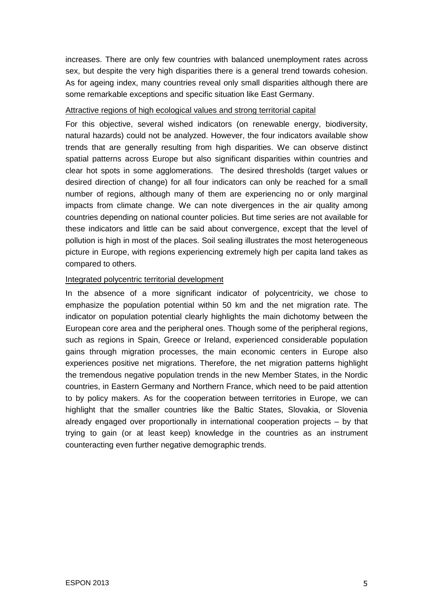increases. There are only few countries with balanced unemployment rates across sex, but despite the very high disparities there is a general trend towards cohesion. As for ageing index, many countries reveal only small disparities although there are some remarkable exceptions and specific situation like East Germany.

#### Attractive regions of high ecological values and strong territorial capital

For this objective, several wished indicators (on renewable energy, biodiversity, natural hazards) could not be analyzed. However, the four indicators available show trends that are generally resulting from high disparities. We can observe distinct spatial patterns across Europe but also significant disparities within countries and clear hot spots in some agglomerations. The desired thresholds (target values or desired direction of change) for all four indicators can only be reached for a small number of regions, although many of them are experiencing no or only marginal impacts from climate change. We can note divergences in the air quality among countries depending on national counter policies. But time series are not available for these indicators and little can be said about convergence, except that the level of pollution is high in most of the places. Soil sealing illustrates the most heterogeneous picture in Europe, with regions experiencing extremely high per capita land takes as compared to others.

### Integrated polycentric territorial development

In the absence of a more significant indicator of polycentricity, we chose to emphasize the population potential within 50 km and the net migration rate. The indicator on population potential clearly highlights the main dichotomy between the European core area and the peripheral ones. Though some of the peripheral regions, such as regions in Spain, Greece or Ireland, experienced considerable population gains through migration processes, the main economic centers in Europe also experiences positive net migrations. Therefore, the net migration patterns highlight the tremendous negative population trends in the new Member States, in the Nordic countries, in Eastern Germany and Northern France, which need to be paid attention to by policy makers. As for the cooperation between territories in Europe, we can highlight that the smaller countries like the Baltic States, Slovakia, or Slovenia already engaged over proportionally in international cooperation projects – by that trying to gain (or at least keep) knowledge in the countries as an instrument counteracting even further negative demographic trends.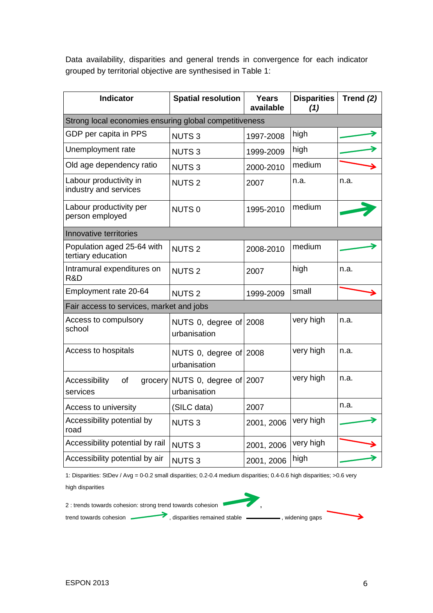Data availability, disparities and general trends in convergence for each indicator grouped by territorial objective are synthesised in Table 1:

| <b>Indicator</b>                                       | <b>Spatial resolution</b>                      | <b>Years</b><br>available | <b>Disparities</b><br>(1) | Trend $(2)$ |  |  |
|--------------------------------------------------------|------------------------------------------------|---------------------------|---------------------------|-------------|--|--|
| Strong local economies ensuring global competitiveness |                                                |                           |                           |             |  |  |
| GDP per capita in PPS                                  | <b>NUTS3</b>                                   | 1997-2008                 | high                      |             |  |  |
| Unemployment rate                                      | <b>NUTS3</b>                                   | 1999-2009                 | high                      |             |  |  |
| Old age dependency ratio                               | <b>NUTS3</b>                                   | 2000-2010                 | medium                    |             |  |  |
| Labour productivity in<br>industry and services        | <b>NUTS2</b>                                   | 2007                      | n.a.                      | n.a.        |  |  |
| Labour productivity per<br>person employed             | NUTS <sub>0</sub>                              | 1995-2010                 | medium                    |             |  |  |
| Innovative territories                                 |                                                |                           |                           |             |  |  |
| Population aged 25-64 with<br>tertiary education       | <b>NUTS2</b>                                   | 2008-2010                 | medium                    |             |  |  |
| Intramural expenditures on<br>R&D                      | <b>NUTS2</b>                                   | 2007                      | high                      | n.a.        |  |  |
| Employment rate 20-64                                  | <b>NUTS2</b>                                   | 1999-2009                 | small                     |             |  |  |
| Fair access to services, market and jobs               |                                                |                           |                           |             |  |  |
| Access to compulsory<br>school                         | NUTS 0, degree of $2008$<br>urbanisation       |                           | very high                 | n.a.        |  |  |
| Access to hospitals                                    | NUTS 0, degree of $2008$<br>urbanisation       |                           | very high                 | n.a.        |  |  |
| Accessibility<br>of<br>services                        | grocery NUTS 0, degree of 2007<br>urbanisation |                           | very high                 | n.a.        |  |  |
| Access to university                                   | (SILC data)                                    | 2007                      |                           | n.a.        |  |  |
| Accessibility potential by<br>road                     | <b>NUTS3</b>                                   | 2001, 2006                | very high                 |             |  |  |
| Accessibility potential by rail                        | <b>NUTS3</b>                                   | 2001, 2006                | very high                 |             |  |  |
| Accessibility potential by air                         | <b>NUTS3</b>                                   | 2001, 2006                | high                      |             |  |  |

1: Disparities: StDev / Avg = 0-0.2 small disparities; 0.2-0.4 medium disparities; 0.4-0.6 high disparities; >0.6 very high disparities

2 : trends towards cohesion: strong trend towards cohesion trend towards cohesion , disparities remained stable , widening gaps



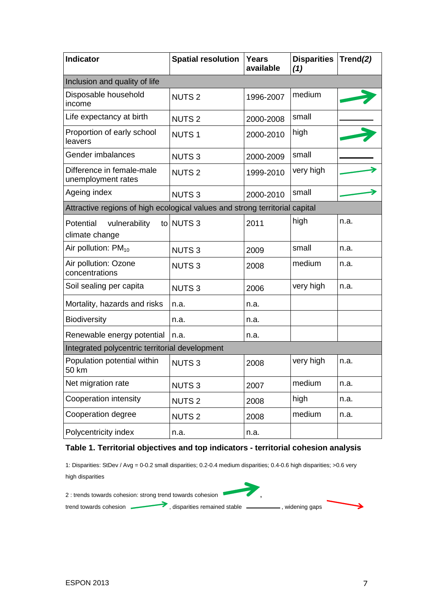| <b>Indicator</b>                                                            | <b>Spatial resolution</b> | <b>Years</b><br>available | <b>Disparities</b><br>(1) | Trend(2) |  |  |
|-----------------------------------------------------------------------------|---------------------------|---------------------------|---------------------------|----------|--|--|
| Inclusion and quality of life                                               |                           |                           |                           |          |  |  |
| Disposable household<br>income                                              | <b>NUTS2</b>              | 1996-2007                 | medium                    |          |  |  |
| Life expectancy at birth                                                    | <b>NUTS2</b>              | 2000-2008                 | small                     |          |  |  |
| Proportion of early school<br>leavers                                       | <b>NUTS1</b>              | 2000-2010                 | high                      |          |  |  |
| Gender imbalances                                                           | <b>NUTS3</b>              | 2000-2009                 | small                     |          |  |  |
| Difference in female-male<br>unemployment rates                             | <b>NUTS2</b>              | 1999-2010                 | very high                 |          |  |  |
| Ageing index                                                                | <b>NUTS3</b>              | 2000-2010                 | small                     |          |  |  |
| Attractive regions of high ecological values and strong territorial capital |                           |                           |                           |          |  |  |
| vulnerability<br>Potential<br>climate change                                | to NUTS 3                 | 2011                      | high                      | n.a.     |  |  |
| Air pollution: $PM_{10}$                                                    | <b>NUTS3</b>              | 2009                      | small                     | n.a.     |  |  |
| Air pollution: Ozone<br>concentrations                                      | <b>NUTS3</b>              | 2008                      | medium                    | n.a.     |  |  |
| Soil sealing per capita                                                     | <b>NUTS3</b>              | 2006                      | very high                 | n.a.     |  |  |
| Mortality, hazards and risks                                                | n.a.                      | n.a.                      |                           |          |  |  |
| <b>Biodiversity</b>                                                         | n.a.                      | n.a.                      |                           |          |  |  |
| Renewable energy potential                                                  | n.a.                      | n.a.                      |                           |          |  |  |
| Integrated polycentric territorial development                              |                           |                           |                           |          |  |  |
| Population potential within<br>50 km                                        | <b>NUTS3</b>              | 2008                      | very high                 | n.a.     |  |  |
| Net migration rate                                                          | <b>NUTS3</b>              | 2007                      | medium                    | n.a.     |  |  |
| Cooperation intensity                                                       | <b>NUTS2</b>              | 2008                      | high                      | n.a.     |  |  |
| Cooperation degree                                                          | <b>NUTS2</b>              | 2008                      | medium                    | n.a.     |  |  |
| Polycentricity index                                                        | n.a.                      | n.a.                      |                           |          |  |  |

# **Table 1. Territorial objectives and top indicators - territorial cohesion analysis**

1: Disparities: StDev / Avg = 0-0.2 small disparities; 0.2-0.4 medium disparities; 0.4-0.6 high disparities; >0.6 very high disparities



trend towards cohesion , disparities remained stable , widening gaps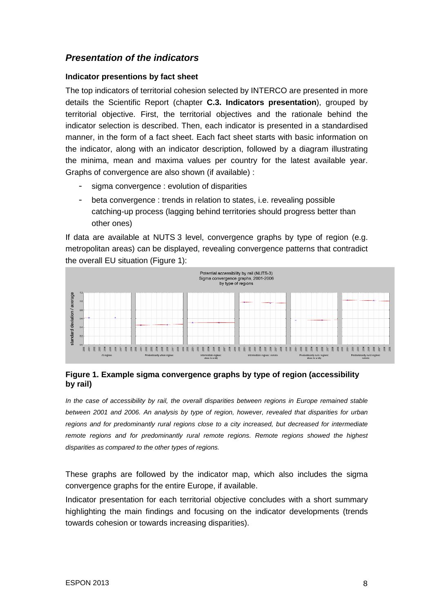# **Presentation of the indicators**

#### **Indicator presentions by fact sheet**

The top indicators of territorial cohesion selected by INTERCO are presented in more details the Scientific Report (chapter **C.3. Indicators presentation**), grouped by territorial objective. First, the territorial objectives and the rationale behind the indicator selection is described. Then, each indicator is presented in a standardised manner, in the form of a fact sheet. Each fact sheet starts with basic information on the indicator, along with an indicator description, followed by a diagram illustrating the minima, mean and maxima values per country for the latest available year. Graphs of convergence are also shown (if available) :

- sigma convergence : evolution of disparities
- beta convergence : trends in relation to states, i.e. revealing possible catching-up process (lagging behind territories should progress better than other ones)

If data are available at NUTS 3 level, convergence graphs by type of region (e.g. metropolitan areas) can be displayed, revealing convergence patterns that contradict the overall EU situation (Figure 1):



### **Figure 1. Example sigma convergence graphs by type of region (accessibility by rail)**

In the case of accessibility by rail, the overall disparities between regions in Europe remained stable between 2001 and 2006. An analysis by type of region, however, revealed that disparities for urban regions and for predominantly rural regions close to a city increased, but decreased for intermediate remote regions and for predominantly rural remote regions. Remote regions showed the highest disparities as compared to the other types of regions.

These graphs are followed by the indicator map, which also includes the sigma convergence graphs for the entire Europe, if available.

Indicator presentation for each territorial objective concludes with a short summary highlighting the main findings and focusing on the indicator developments (trends towards cohesion or towards increasing disparities).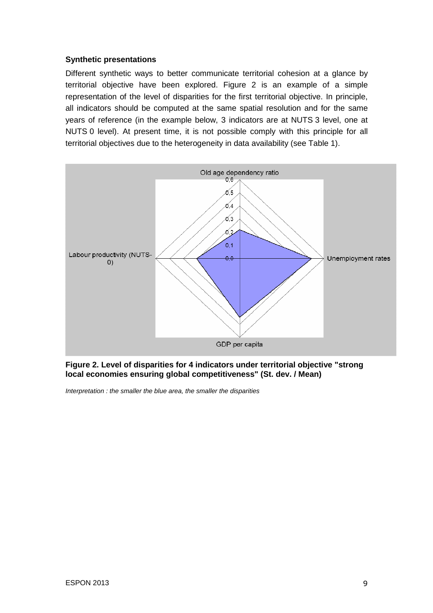#### **Synthetic presentations**

Different synthetic ways to better communicate territorial cohesion at a glance by territorial objective have been explored. Figure 2 is an example of a simple representation of the level of disparities for the first territorial objective. In principle, all indicators should be computed at the same spatial resolution and for the same years of reference (in the example below, 3 indicators are at NUTS 3 level, one at NUTS 0 level). At present time, it is not possible comply with this principle for all territorial objectives due to the heterogeneity in data availability (see Table 1).



**Figure 2. Level of disparities for 4 indicators under territorial objective "strong local economies ensuring global competitiveness" (St. dev. / Mean)** 

Interpretation : the smaller the blue area, the smaller the disparities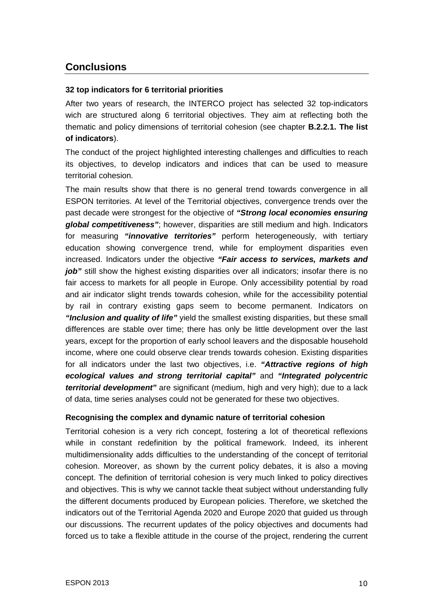# **Conclusions**

## **32 top indicators for 6 territorial priorities**

After two years of research, the INTERCO project has selected 32 top-indicators wich are structured along 6 territorial objectives. They aim at reflecting both the thematic and policy dimensions of territorial cohesion (see chapter **B.2.2.1. The list of indicators**).

The conduct of the project highlighted interesting challenges and difficulties to reach its objectives, to develop indicators and indices that can be used to measure territorial cohesion.

The main results show that there is no general trend towards convergence in all ESPON territories. At level of the Territorial objectives, convergence trends over the past decade were strongest for the objective of **"Strong local economies ensuring global competitiveness"**; however, disparities are still medium and high. Indicators for measuring **"innovative territories"** perform heterogeneously, with tertiary education showing convergence trend, while for employment disparities even increased. Indicators under the objective **"Fair access to services, markets and**  *job*" still show the highest existing disparities over all indicators; insofar there is no fair access to markets for all people in Europe. Only accessibility potential by road and air indicator slight trends towards cohesion, while for the accessibility potential by rail in contrary existing gaps seem to become permanent. Indicators on **"Inclusion and quality of life"** yield the smallest existing disparities, but these small differences are stable over time; there has only be little development over the last years, except for the proportion of early school leavers and the disposable household income, where one could observe clear trends towards cohesion. Existing disparities for all indicators under the last two objectives, i.e. **"Attractive regions of high ecological values and strong territorial capital"** and **"Integrated polycentric territorial development"** are significant (medium, high and very high); due to a lack of data, time series analyses could not be generated for these two objectives.

#### **Recognising the complex and dynamic nature of territorial cohesion**

Territorial cohesion is a very rich concept, fostering a lot of theoretical reflexions while in constant redefinition by the political framework. Indeed, its inherent multidimensionality adds difficulties to the understanding of the concept of territorial cohesion. Moreover, as shown by the current policy debates, it is also a moving concept. The definition of territorial cohesion is very much linked to policy directives and objectives. This is why we cannot tackle theat subject without understanding fully the different documents produced by European policies. Therefore, we sketched the indicators out of the Territorial Agenda 2020 and Europe 2020 that guided us through our discussions. The recurrent updates of the policy objectives and documents had forced us to take a flexible attitude in the course of the project, rendering the current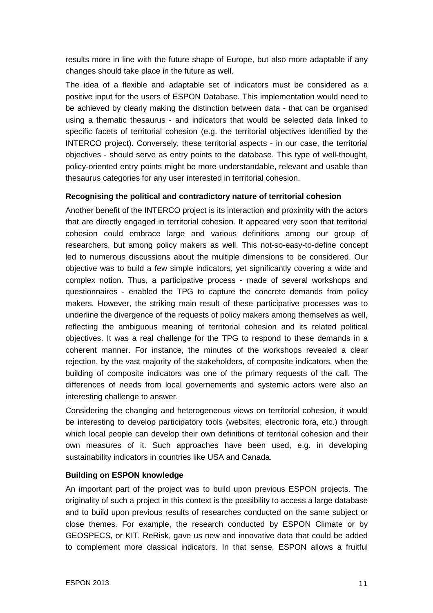results more in line with the future shape of Europe, but also more adaptable if any changes should take place in the future as well.

The idea of a flexible and adaptable set of indicators must be considered as a positive input for the users of ESPON Database. This implementation would need to be achieved by clearly making the distinction between data - that can be organised using a thematic thesaurus - and indicators that would be selected data linked to specific facets of territorial cohesion (e.g. the territorial objectives identified by the INTERCO project). Conversely, these territorial aspects - in our case, the territorial objectives - should serve as entry points to the database. This type of well-thought, policy-oriented entry points might be more understandable, relevant and usable than thesaurus categories for any user interested in territorial cohesion.

### **Recognising the political and contradictory nature of territorial cohesion**

Another benefit of the INTERCO project is its interaction and proximity with the actors that are directly engaged in territorial cohesion. It appeared very soon that territorial cohesion could embrace large and various definitions among our group of researchers, but among policy makers as well. This not-so-easy-to-define concept led to numerous discussions about the multiple dimensions to be considered. Our objective was to build a few simple indicators, yet significantly covering a wide and complex notion. Thus, a participative process - made of several workshops and questionnaires - enabled the TPG to capture the concrete demands from policy makers. However, the striking main result of these participative processes was to underline the divergence of the requests of policy makers among themselves as well, reflecting the ambiguous meaning of territorial cohesion and its related political objectives. It was a real challenge for the TPG to respond to these demands in a coherent manner. For instance, the minutes of the workshops revealed a clear rejection, by the vast majority of the stakeholders, of composite indicators, when the building of composite indicators was one of the primary requests of the call. The differences of needs from local governements and systemic actors were also an interesting challenge to answer.

Considering the changing and heterogeneous views on territorial cohesion, it would be interesting to develop participatory tools (websites, electronic fora, etc.) through which local people can develop their own definitions of territorial cohesion and their own measures of it. Such approaches have been used, e.g. in developing sustainability indicators in countries like USA and Canada.

# **Building on ESPON knowledge**

An important part of the project was to build upon previous ESPON projects. The originality of such a project in this context is the possibility to access a large database and to build upon previous results of researches conducted on the same subject or close themes. For example, the research conducted by ESPON Climate or by GEOSPECS, or KIT, ReRisk, gave us new and innovative data that could be added to complement more classical indicators. In that sense, ESPON allows a fruitful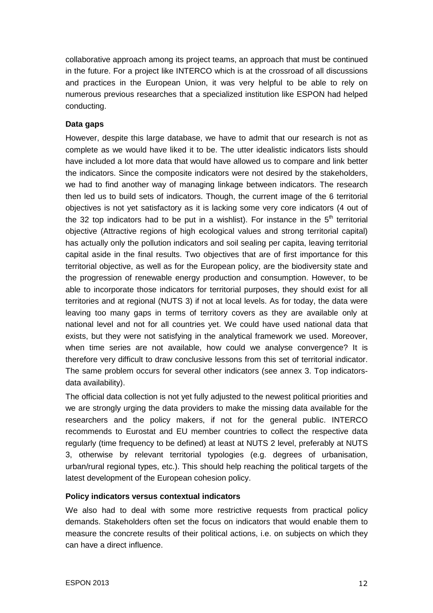collaborative approach among its project teams, an approach that must be continued in the future. For a project like INTERCO which is at the crossroad of all discussions and practices in the European Union, it was very helpful to be able to rely on numerous previous researches that a specialized institution like ESPON had helped conducting.

## **Data gaps**

However, despite this large database, we have to admit that our research is not as complete as we would have liked it to be. The utter idealistic indicators lists should have included a lot more data that would have allowed us to compare and link better the indicators. Since the composite indicators were not desired by the stakeholders, we had to find another way of managing linkage between indicators. The research then led us to build sets of indicators. Though, the current image of the 6 territorial objectives is not yet satisfactory as it is lacking some very core indicators (4 out of the 32 top indicators had to be put in a wishlist). For instance in the  $5<sup>th</sup>$  territorial objective (Attractive regions of high ecological values and strong territorial capital) has actually only the pollution indicators and soil sealing per capita, leaving territorial capital aside in the final results. Two objectives that are of first importance for this territorial objective, as well as for the European policy, are the biodiversity state and the progression of renewable energy production and consumption. However, to be able to incorporate those indicators for territorial purposes, they should exist for all territories and at regional (NUTS 3) if not at local levels. As for today, the data were leaving too many gaps in terms of territory covers as they are available only at national level and not for all countries yet. We could have used national data that exists, but they were not satisfying in the analytical framework we used. Moreover, when time series are not available, how could we analyse convergence? It is therefore very difficult to draw conclusive lessons from this set of territorial indicator. The same problem occurs for several other indicators (see annex 3. Top indicatorsdata availability).

The official data collection is not yet fully adjusted to the newest political priorities and we are strongly urging the data providers to make the missing data available for the researchers and the policy makers, if not for the general public. INTERCO recommends to Eurostat and EU member countries to collect the respective data regularly (time frequency to be defined) at least at NUTS 2 level, preferably at NUTS 3, otherwise by relevant territorial typologies (e.g. degrees of urbanisation, urban/rural regional types, etc.). This should help reaching the political targets of the latest development of the European cohesion policy.

#### **Policy indicators versus contextual indicators**

We also had to deal with some more restrictive requests from practical policy demands. Stakeholders often set the focus on indicators that would enable them to measure the concrete results of their political actions, i.e. on subjects on which they can have a direct influence.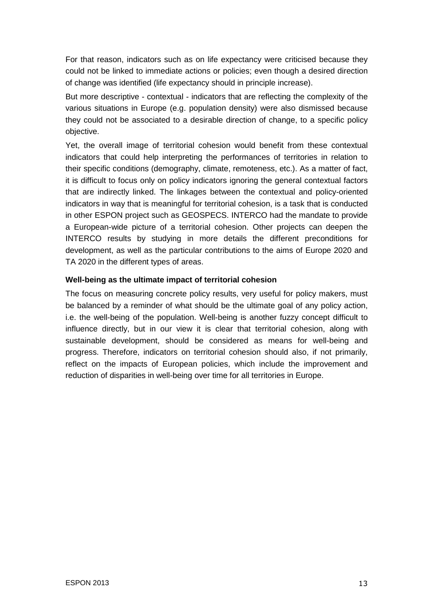For that reason, indicators such as on life expectancy were criticised because they could not be linked to immediate actions or policies; even though a desired direction of change was identified (life expectancy should in principle increase).

But more descriptive - contextual - indicators that are reflecting the complexity of the various situations in Europe (e.g. population density) were also dismissed because they could not be associated to a desirable direction of change, to a specific policy objective.

Yet, the overall image of territorial cohesion would benefit from these contextual indicators that could help interpreting the performances of territories in relation to their specific conditions (demography, climate, remoteness, etc.). As a matter of fact, it is difficult to focus only on policy indicators ignoring the general contextual factors that are indirectly linked. The linkages between the contextual and policy-oriented indicators in way that is meaningful for territorial cohesion, is a task that is conducted in other ESPON project such as GEOSPECS. INTERCO had the mandate to provide a European-wide picture of a territorial cohesion. Other projects can deepen the INTERCO results by studying in more details the different preconditions for development, as well as the particular contributions to the aims of Europe 2020 and TA 2020 in the different types of areas.

# **Well-being as the ultimate impact of territorial cohesion**

The focus on measuring concrete policy results, very useful for policy makers, must be balanced by a reminder of what should be the ultimate goal of any policy action, i.e. the well-being of the population. Well-being is another fuzzy concept difficult to influence directly, but in our view it is clear that territorial cohesion, along with sustainable development, should be considered as means for well-being and progress. Therefore, indicators on territorial cohesion should also, if not primarily, reflect on the impacts of European policies, which include the improvement and reduction of disparities in well-being over time for all territories in Europe.